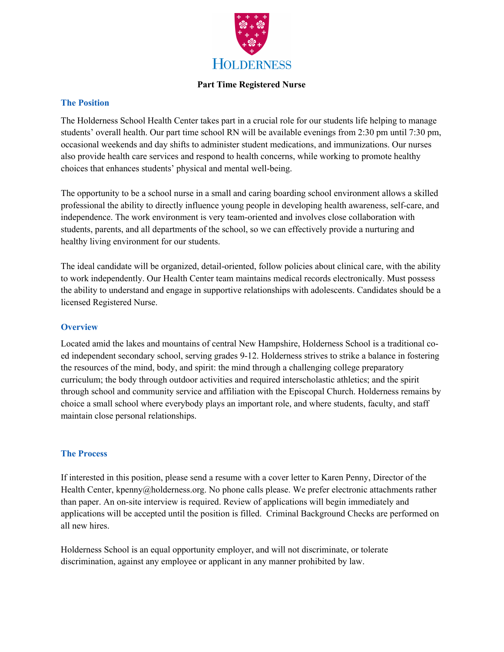

#### **Part Time Registered Nurse**

#### **The Position**

The Holderness School Health Center takes part in a crucial role for our students life helping to manage students' overall health. Our part time school RN will be available evenings from 2:30 pm until 7:30 pm, occasional weekends and day shifts to administer student medications, and immunizations. Our nurses also provide health care services and respond to health concerns, while working to promote healthy choices that enhances students' physical and mental well-being.

The opportunity to be a school nurse in a small and caring boarding school environment allows a skilled professional the ability to directly influence young people in developing health awareness, self-care, and independence. The work environment is very team-oriented and involves close collaboration with students, parents, and all departments of the school, so we can effectively provide a nurturing and healthy living environment for our students.

The ideal candidate will be organized, detail-oriented, follow policies about clinical care, with the ability to work independently. Our Health Center team maintains medical records electronically. Must possess the ability to understand and engage in supportive relationships with adolescents. Candidates should be a licensed Registered Nurse.

### **Overview**

Located amid the lakes and mountains of central New Hampshire, Holderness School is a traditional coed independent secondary school, serving grades 9-12. Holderness strives to strike a balance in fostering the resources of the mind, body, and spirit: the mind through a challenging college preparatory curriculum; the body through outdoor activities and required interscholastic athletics; and the spirit through school and community service and affiliation with the Episcopal Church. Holderness remains by choice a small school where everybody plays an important role, and where students, faculty, and staff maintain close personal relationships.

#### **The Process**

If interested in this position, please send a resume with a cover letter to Karen Penny, Director of the Health Center, kpenny@holderness.org. No phone calls please. We prefer electronic attachments rather than paper. An on-site interview is required. Review of applications will begin immediately and applications will be accepted until the position is filled. Criminal Background Checks are performed on all new hires.

Holderness School is an equal opportunity employer, and will not discriminate, or tolerate discrimination, against any employee or applicant in any manner prohibited by law.